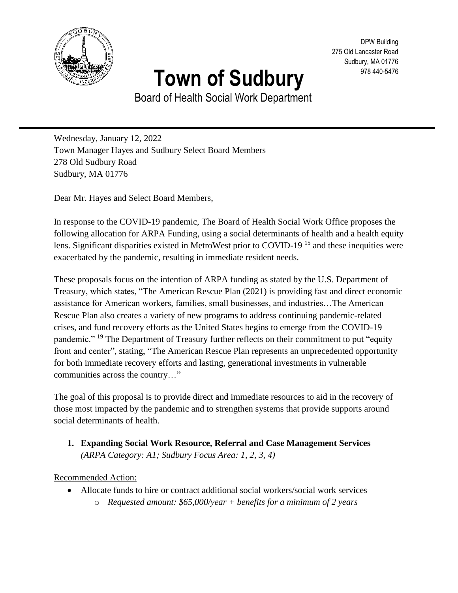

# **Town of Sudbury**

DPW Building 275 Old Lancaster Road Sudbury, MA 01776 978 440-5476

Board of Health Social Work Department

Wednesday, January 12, 2022 Town Manager Hayes and Sudbury Select Board Members 278 Old Sudbury Road Sudbury, MA 01776

Dear Mr. Hayes and Select Board Members,

In response to the COVID-19 pandemic, The Board of Health Social Work Office proposes the following allocation for ARPA Funding, using a social determinants of health and a health equity lens. Significant disparities existed in MetroWest prior to COVID-19 <sup>15</sup> and these inequities were exacerbated by the pandemic, resulting in immediate resident needs.

These proposals focus on the intention of ARPA funding as stated by the U.S. Department of Treasury, which states, "The American Rescue Plan (2021) is providing fast and direct economic assistance for American workers, families, small businesses, and industries…The American Rescue Plan also creates a variety of new programs to address continuing pandemic-related crises, and fund recovery efforts as the United States begins to emerge from the COVID-19 pandemic." <sup>19</sup> The Department of Treasury further reflects on their commitment to put "equity front and center", stating, "The American Rescue Plan represents an unprecedented opportunity for both immediate recovery efforts and lasting, generational investments in vulnerable communities across the country…"

The goal of this proposal is to provide direct and immediate resources to aid in the recovery of those most impacted by the pandemic and to strengthen systems that provide supports around social determinants of health.

**1. Expanding Social Work Resource, Referral and Case Management Services** *(ARPA Category: A1; Sudbury Focus Area: 1, 2, 3, 4)*

Recommended Action:

- Allocate funds to hire or contract additional social workers/social work services
	- o *Requested amount: \$65,000/year + benefits for a minimum of 2 years*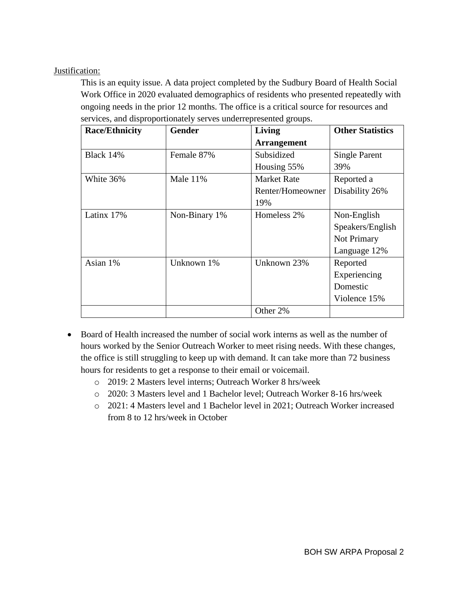## Justification:

This is an equity issue. A data project completed by the Sudbury Board of Health Social Work Office in 2020 evaluated demographics of residents who presented repeatedly with ongoing needs in the prior 12 months. The office is a critical source for resources and services, and disproportionately serves underrepresented groups.

| <b>Race/Ethnicity</b> | <b>Gender</b> | Living             | <b>Other Statistics</b> |
|-----------------------|---------------|--------------------|-------------------------|
|                       |               | <b>Arrangement</b> |                         |
| Black 14%             | Female 87%    | Subsidized         | <b>Single Parent</b>    |
|                       |               | Housing 55%        | 39%                     |
| White 36%             | Male $11\%$   | <b>Market Rate</b> | Reported a              |
|                       |               | Renter/Homeowner   | Disability 26%          |
|                       |               | 19%                |                         |
| Latinx 17%            | Non-Binary 1% | Homeless 2%        | Non-English             |
|                       |               |                    | Speakers/English        |
|                       |               |                    | Not Primary             |
|                       |               |                    | Language 12%            |
| Asian 1%              | Unknown 1%    | Unknown 23%        | Reported                |
|                       |               |                    | Experiencing            |
|                       |               |                    | Domestic                |
|                       |               |                    | Violence 15%            |
|                       |               | Other 2%           |                         |

- Board of Health increased the number of social work interns as well as the number of hours worked by the Senior Outreach Worker to meet rising needs. With these changes, the office is still struggling to keep up with demand. It can take more than 72 business hours for residents to get a response to their email or voicemail.
	- o 2019: 2 Masters level interns; Outreach Worker 8 hrs/week
	- o 2020: 3 Masters level and 1 Bachelor level; Outreach Worker 8-16 hrs/week
	- o 2021: 4 Masters level and 1 Bachelor level in 2021; Outreach Worker increased from 8 to 12 hrs/week in October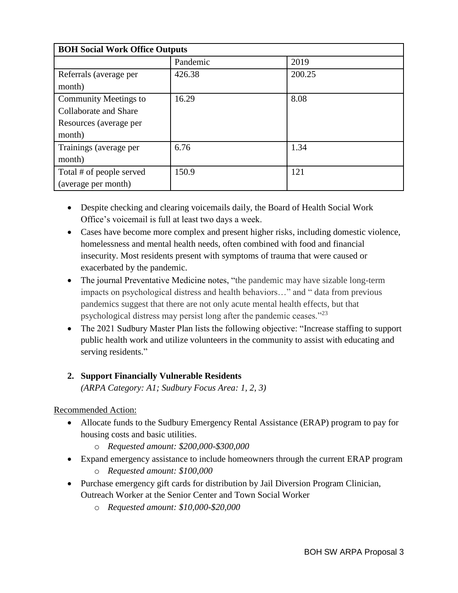| <b>BOH Social Work Office Outputs</b> |          |        |  |
|---------------------------------------|----------|--------|--|
|                                       | Pandemic | 2019   |  |
| Referrals (average per                | 426.38   | 200.25 |  |
| month)                                |          |        |  |
| Community Meetings to                 | 16.29    | 8.08   |  |
| Collaborate and Share                 |          |        |  |
| Resources (average per                |          |        |  |
| month)                                |          |        |  |
| Trainings (average per                | 6.76     | 1.34   |  |
| month)                                |          |        |  |
| Total # of people served              | 150.9    | 121    |  |
| (average per month)                   |          |        |  |

- Despite checking and clearing voicemails daily, the Board of Health Social Work Office's voicemail is full at least two days a week.
- Cases have become more complex and present higher risks, including domestic violence, homelessness and mental health needs, often combined with food and financial insecurity. Most residents present with symptoms of trauma that were caused or exacerbated by the pandemic.
- The journal Preventative Medicine notes, "the pandemic may have sizable long-term impacts on psychological distress and health behaviors…" and " data from previous pandemics suggest that there are not only acute mental health effects, but that psychological distress may persist long after the pandemic ceases."<sup>23</sup>
- The 2021 Sudbury Master Plan lists the following objective: "Increase staffing to support public health work and utilize volunteers in the community to assist with educating and serving residents."

# **2. Support Financially Vulnerable Residents**

*(ARPA Category: A1; Sudbury Focus Area: 1, 2, 3)*

# Recommended Action:

- Allocate funds to the Sudbury Emergency Rental Assistance (ERAP) program to pay for housing costs and basic utilities.
	- o *Requested amount: \$200,000-\$300,000*
- Expand emergency assistance to include homeowners through the current ERAP program
	- o *Requested amount: \$100,000*
- Purchase emergency gift cards for distribution by Jail Diversion Program Clinician, Outreach Worker at the Senior Center and Town Social Worker
	- o *Requested amount: \$10,000-\$20,000*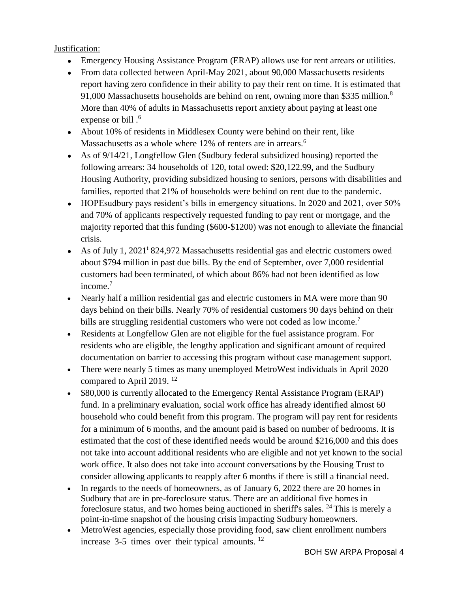## Justification:

- Emergency Housing Assistance Program (ERAP) allows use for rent arrears or utilities.
- From data collected between April-May 2021, about 90,000 Massachusetts residents report having zero confidence in their ability to pay their rent on time. It is estimated that 91,000 Massachusetts households are behind on rent, owning more than \$335 million.<sup>8</sup> More than 40% of adults in Massachusetts report anxiety about paying at least one expense or bill  $\cdot$ <sup>6</sup>
- About 10% of residents in Middlesex County were behind on their rent, like Massachusetts as a whole where 12% of renters are in arrears.<sup>6</sup>
- As of  $9/14/21$ , Longfellow Glen (Sudbury federal subsidized housing) reported the following arrears: 34 households of 120, total owed: \$20,122.99, and the Sudbury Housing Authority, providing subsidized housing to seniors, persons with disabilities and families, reported that 21% of households were behind on rent due to the pandemic.
- HOPE sudbury pays resident's bills in emergency situations. In 2020 and 2021, over  $50\%$ and 70% of applicants respectively requested funding to pay rent or mortgage, and the majority reported that this funding (\$600-\$1200) was not enough to alleviate the financial crisis.
- As of July 1, 2021<sup>t</sup> 824,972 Massachusetts residential gas and electric customers owed about \$794 million in past due bills. By the end of September, over 7,000 residential customers had been terminated, of which about 86% had not been identified as low income.<sup>7</sup>
- Nearly half a million residential gas and electric customers in MA were more than 90 days behind on their bills. Nearly 70% of residential customers 90 days behind on their bills are struggling residential customers who were not coded as low income.<sup>7</sup>
- Residents at Longfellow Glen are not eligible for the fuel assistance program. For residents who are eligible, the lengthy application and significant amount of required documentation on barrier to accessing this program without case management support.
- There were nearly 5 times as many unemployed MetroWest individuals in April 2020 compared to April 2019.<sup>12</sup>
- \$80,000 is currently allocated to the Emergency Rental Assistance Program (ERAP) fund. In a preliminary evaluation, social work office has already identified almost 60 household who could benefit from this program. The program will pay rent for residents for a minimum of 6 months, and the amount paid is based on number of bedrooms. It is estimated that the cost of these identified needs would be around \$216,000 and this does not take into account additional residents who are eligible and not yet known to the social work office. It also does not take into account conversations by the Housing Trust to consider allowing applicants to reapply after 6 months if there is still a financial need.
- In regards to the needs of homeowners, as of January 6, 2022 there are 20 homes in Sudbury that are in pre-foreclosure status. There are an additional five homes in foreclosure status, and two homes being auctioned in sheriff's sales. <sup>24</sup> This is merely a point-in-time snapshot of the housing crisis impacting Sudbury homeowners.
- MetroWest agencies, especially those providing food, saw client enrollment numbers increase  $3-5$  times over their typical amounts. <sup>12</sup>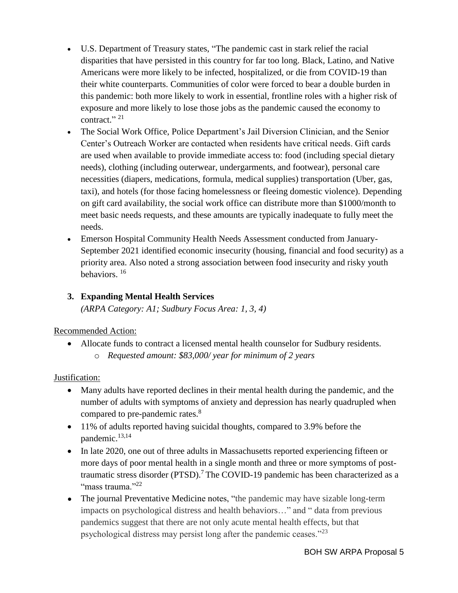- U.S. Department of Treasury states, "The pandemic cast in stark relief the racial disparities that have persisted in this country for far too long. Black, Latino, and Native Americans were more likely to be infected, hospitalized, or die from COVID-19 than their white counterparts. Communities of color were forced to bear a double burden in this pandemic: both more likely to work in essential, frontline roles with a higher risk of exposure and more likely to lose those jobs as the pandemic caused the economy to contract."<sup>21</sup>
- The Social Work Office, Police Department's Jail Diversion Clinician, and the Senior Center's Outreach Worker are contacted when residents have critical needs. Gift cards are used when available to provide immediate access to: food (including special dietary needs), clothing (including outerwear, undergarments, and footwear), personal care necessities (diapers, medications, formula, medical supplies) transportation (Uber, gas, taxi), and hotels (for those facing homelessness or fleeing domestic violence). Depending on gift card availability, the social work office can distribute more than \$1000/month to meet basic needs requests, and these amounts are typically inadequate to fully meet the needs.
- Emerson Hospital Community Health Needs Assessment conducted from January-September 2021 identified economic insecurity (housing, financial and food security) as a priority area. Also noted a strong association between food insecurity and risky youth behaviors. <sup>16</sup>

# **3. Expanding Mental Health Services**

*(ARPA Category: A1; Sudbury Focus Area: 1, 3, 4)*

## Recommended Action:

• Allocate funds to contract a licensed mental health counselor for Sudbury residents. o *Requested amount: \$83,000/ year for minimum of 2 years*

## Justification:

- Many adults have reported declines in their mental health during the pandemic, and the number of adults with symptoms of anxiety and depression has nearly quadrupled when compared to pre-pandemic rates.<sup>8</sup>
- 11% of adults reported having suicidal thoughts, compared to 3.9% before the pandemic.<sup>13,14</sup>
- In late 2020, one out of three adults in Massachusetts reported experiencing fifteen or more days of poor mental health in a single month and three or more symptoms of posttraumatic stress disorder (PTSD).<sup>7</sup> The COVID-19 pandemic has been characterized as a "mass trauma."22
- The journal Preventative Medicine notes, "the pandemic may have sizable long-term impacts on psychological distress and health behaviors…" and " data from previous pandemics suggest that there are not only acute mental health effects, but that psychological distress may persist long after the pandemic ceases."<sup>23</sup>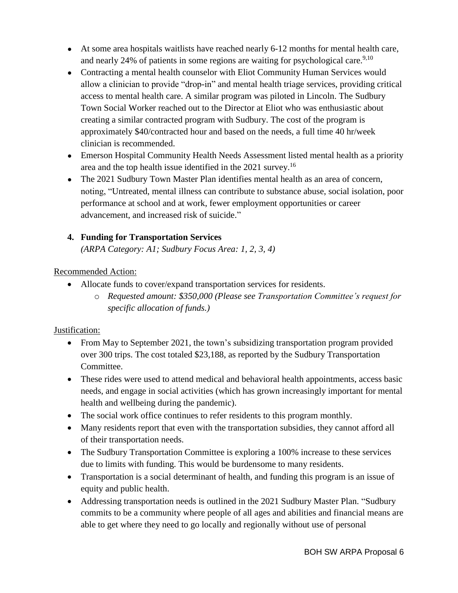- At some area hospitals waitlists have reached nearly 6-12 months for mental health care, and nearly 24% of patients in some regions are waiting for psychological care.<sup>9,10</sup>
- Contracting a mental health counselor with Eliot Community Human Services would allow a clinician to provide "drop-in" and mental health triage services, providing critical access to mental health care. A similar program was piloted in Lincoln. The Sudbury Town Social Worker reached out to the Director at Eliot who was enthusiastic about creating a similar contracted program with Sudbury. The cost of the program is approximately \$40/contracted hour and based on the needs, a full time 40 hr/week clinician is recommended.
- Emerson Hospital Community Health Needs Assessment listed mental health as a priority area and the top health issue identified in the 2021 survey.<sup>16</sup>
- The 2021 Sudbury Town Master Plan identifies mental health as an area of concern, noting, "Untreated, mental illness can contribute to substance abuse, social isolation, poor performance at school and at work, fewer employment opportunities or career advancement, and increased risk of suicide."

# **4. Funding for Transportation Services**

*(ARPA Category: A1; Sudbury Focus Area: 1, 2, 3, 4)*

Recommended Action:

- Allocate funds to cover/expand transportation services for residents.
	- o *Requested amount: \$350,000 (Please see Transportation Committee's request for specific allocation of funds.)*

## Justification:

- From May to September 2021, the town's subsidizing transportation program provided over 300 trips. The cost totaled \$23,188, as reported by the Sudbury Transportation Committee.
- These rides were used to attend medical and behavioral health appointments, access basic needs, and engage in social activities (which has grown increasingly important for mental health and wellbeing during the pandemic).
- The social work office continues to refer residents to this program monthly.
- Many residents report that even with the transportation subsidies, they cannot afford all of their transportation needs.
- The Sudbury Transportation Committee is exploring a 100% increase to these services due to limits with funding. This would be burdensome to many residents.
- Transportation is a social determinant of health, and funding this program is an issue of equity and public health.
- Addressing transportation needs is outlined in the 2021 Sudbury Master Plan. "Sudbury commits to be a community where people of all ages and abilities and financial means are able to get where they need to go locally and regionally without use of personal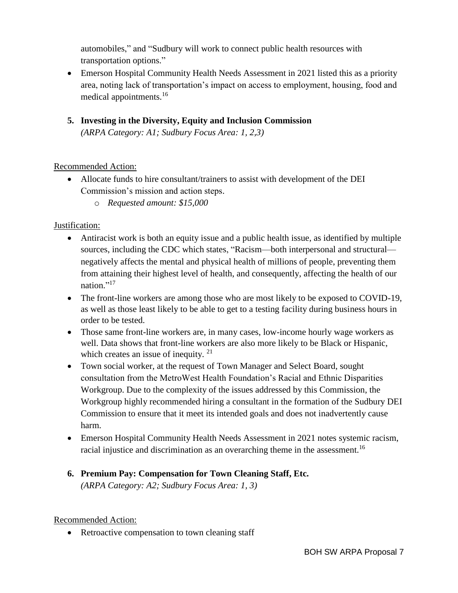automobiles," and "Sudbury will work to connect public health resources with transportation options."

- Emerson Hospital Community Health Needs Assessment in 2021 listed this as a priority area, noting lack of transportation's impact on access to employment, housing, food and medical appointments.<sup>16</sup>
- **5. Investing in the Diversity, Equity and Inclusion Commission** *(ARPA Category: A1; Sudbury Focus Area: 1, 2,3)*

# Recommended Action:

- Allocate funds to hire consultant/trainers to assist with development of the DEI Commission's mission and action steps.
	- o *Requested amount: \$15,000*

# Justification:

- Antiracist work is both an equity issue and a public health issue, as identified by multiple sources, including the CDC which states, "Racism—both interpersonal and structural negatively affects the mental and physical health of millions of people, preventing them from attaining their highest level of health, and consequently, affecting the health of our nation."<sup>17</sup>
- The front-line workers are among those who are most likely to be exposed to COVID-19, as well as those least likely to be able to get to a testing facility during business hours in order to be tested.
- Those same front-line workers are, in many cases, low-income hourly wage workers as well. Data shows that front-line workers are also more likely to be Black or Hispanic, which creates an issue of inequity. <sup>21</sup>
- Town social worker, at the request of Town Manager and Select Board, sought consultation from the MetroWest Health Foundation's Racial and Ethnic Disparities Workgroup. Due to the complexity of the issues addressed by this Commission, the Workgroup highly recommended hiring a consultant in the formation of the Sudbury DEI Commission to ensure that it meet its intended goals and does not inadvertently cause harm.
- Emerson Hospital Community Health Needs Assessment in 2021 notes systemic racism, racial injustice and discrimination as an overarching theme in the assessment.<sup>16</sup>

# **6. Premium Pay: Compensation for Town Cleaning Staff, Etc.**

*(ARPA Category: A2; Sudbury Focus Area: 1, 3)*

## Recommended Action:

• Retroactive compensation to town cleaning staff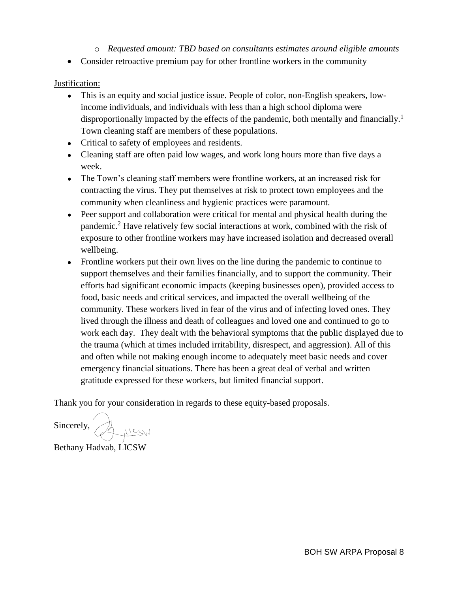## o *Requested amount: TBD based on consultants estimates around eligible amounts*

• Consider retroactive premium pay for other frontline workers in the community

#### Justification:

- This is an equity and social justice issue. People of color, non-English speakers, lowincome individuals, and individuals with less than a high school diploma were disproportionally impacted by the effects of the pandemic, both mentally and financially.<sup>1</sup> Town cleaning staff are members of these populations.
- Critical to safety of employees and residents.
- Cleaning staff are often paid low wages, and work long hours more than five days a week.
- The Town's cleaning staff members were frontline workers, at an increased risk for contracting the virus. They put themselves at risk to protect town employees and the community when cleanliness and hygienic practices were paramount.
- Peer support and collaboration were critical for mental and physical health during the pandemic.<sup>2</sup> Have relatively few social interactions at work, combined with the risk of exposure to other frontline workers may have increased isolation and decreased overall wellbeing.
- Frontline workers put their own lives on the line during the pandemic to continue to support themselves and their families financially, and to support the community. Their efforts had significant economic impacts (keeping businesses open), provided access to food, basic needs and critical services, and impacted the overall wellbeing of the community. These workers lived in fear of the virus and of infecting loved ones. They lived through the illness and death of colleagues and loved one and continued to go to work each day. They dealt with the behavioral symptoms that the public displayed due to the trauma (which at times included irritability, disrespect, and aggression). All of this and often while not making enough income to adequately meet basic needs and cover emergency financial situations. There has been a great deal of verbal and written gratitude expressed for these workers, but limited financial support.

Thank you for your consideration in regards to these equity-based proposals.

Sincerely, Auces

Bethany Hadvab, LICSW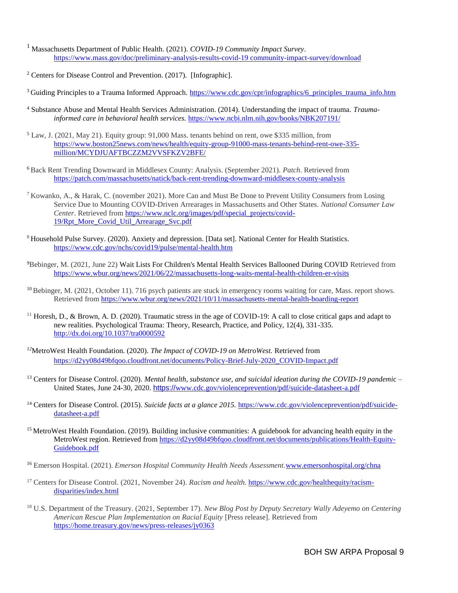- <sup>1</sup> Massachusetts Department of Public Health. (2021). *COVID-19 Community Impact Survey*. https://www.mass.gov/doc/preliminary-analysis-results-covid-19 community-impact-survey/download
- <sup>2</sup> Centers for Disease Control and Prevention. (2017). [Infographic].
- <sup>3</sup>Guiding Principles to a Trauma Informed Approach. https://www.cdc.gov/cpr/infographics/6\_principles\_trauma\_info.htm
- <sup>4</sup> Substance Abuse and Mental Health Services Administration. (2014). Understanding the impact of trauma. *Traumainformed care in behavioral health services.* https://www.ncbi.nlm.nih.gov/books/NBK207191/
- <sup>5</sup> Law, J. (2021, May 21). Equity group: 91,000 Mass. tenants behind on rent, owe \$335 million, from https://www.boston25news.com/news/health/equity-group-91000-mass-tenants-behind-rent-owe-335 million/MCYDJUAFTBCZZM2VVSFKZV2BFE/
- <sup>6</sup>Back Rent Trending Downward in Middlesex County: Analysis. (September 2021). *Patch*. Retrieved from https://patch.com/massachusetts/natick/back-rent-trending-downward-middlesex-county-analysis
- <sup>7</sup> Kowanko, A., & Harak, C. (november 2021). More Can and Must Be Done to Prevent Utility Consumers from Losing Service Due to Mounting COVID-Driven Arrearages in Massachusetts and Other States. *National Consumer Law Center*. Retrieved from https://www.nclc.org/images/pdf/special\_projects/covid-19/Rpt\_More\_Covid\_Util\_Arrearage\_Svc.pdf
- <sup>8</sup> Household Pulse Survey. (2020). Anxiety and depression. [Data set]. National Center for Health Statistics. https://www.cdc.gov/nchs/covid19/pulse/mental-health.htm
- <sup>9</sup>Bebinger, M. (2021, June 22) Wait Lists For Children's Mental Health Services Ballooned During COVID Retrieved from https://www.wbur.org/news/2021/06/22/massachusetts-long-waits-mental-health-children-er-visits
- $^{10}$  Bebinger, M. (2021, October 11). 716 psych patients are stuck in emergency rooms waiting for care, Mass. report shows. Retrieved from https://www.wbur.org/news/2021/10/11/massachusetts-mental-health-boarding-report
- <sup>11</sup> Horesh, D., & Brown, A. D. (2020). Traumatic stress in the age of COVID-19: A call to close critical gaps and adapt to new realities. Psychological Trauma: Theory, Research, Practice, and Policy, 12(4), 331-335. http://dx.doi.org/10.1037/tra0000592
- *<sup>12</sup>*MetroWest Health Foundation. (2020). *The Impact of COVID-19 on MetroWest.* Retrieved from https://d2yy08d49bfqoo.cloudfront.net/documents/Policy-Brief-July-2020\_COVID-Impact.pdf
- <sup>13</sup> Centers for Disease Control. (2020). *Mental health, substance use, and suicidal ideation during the COVID-19 pandemi*c United States, June 24-30, 2020. https://www.cdc.gov/violenceprevention/pdf/suicide-datasheet-a.pdf
- <sup>14</sup> Centers for Disease Control. (2015). *Suicide facts at a glance 2015.* https://www.cdc.gov/violenceprevention/pdf/suicidedatasheet-a.pdf
- <sup>15</sup> MetroWest Health Foundation. (2019). Building inclusive communities: A guidebook for advancing health equity in the MetroWest region. Retrieved from https://d2yy08d49bfqoo.cloudfront.net/documents/publications/Health-Equity-Guidebook.pdf
- <sup>16</sup> Emerson Hospital. (2021). *Emerson Hospital Community Health Needs Assessment.*www.emersonhospital.org/chna
- <sup>17</sup> Centers for Disease Control. (2021, November 24). *Racism and health.* https://www.cdc.gov/healthequity/racismdisparities/index.html
- <sup>18</sup> U.S. Department of the Treasury. (2021, September 17). *New Blog Post by Deputy Secretary Wally Adeyemo on Centering American Rescue Plan Implementation on Racial Equity* [Press release]. Retrieved from https://home.treasury.gov/news/press-releases/jy0363